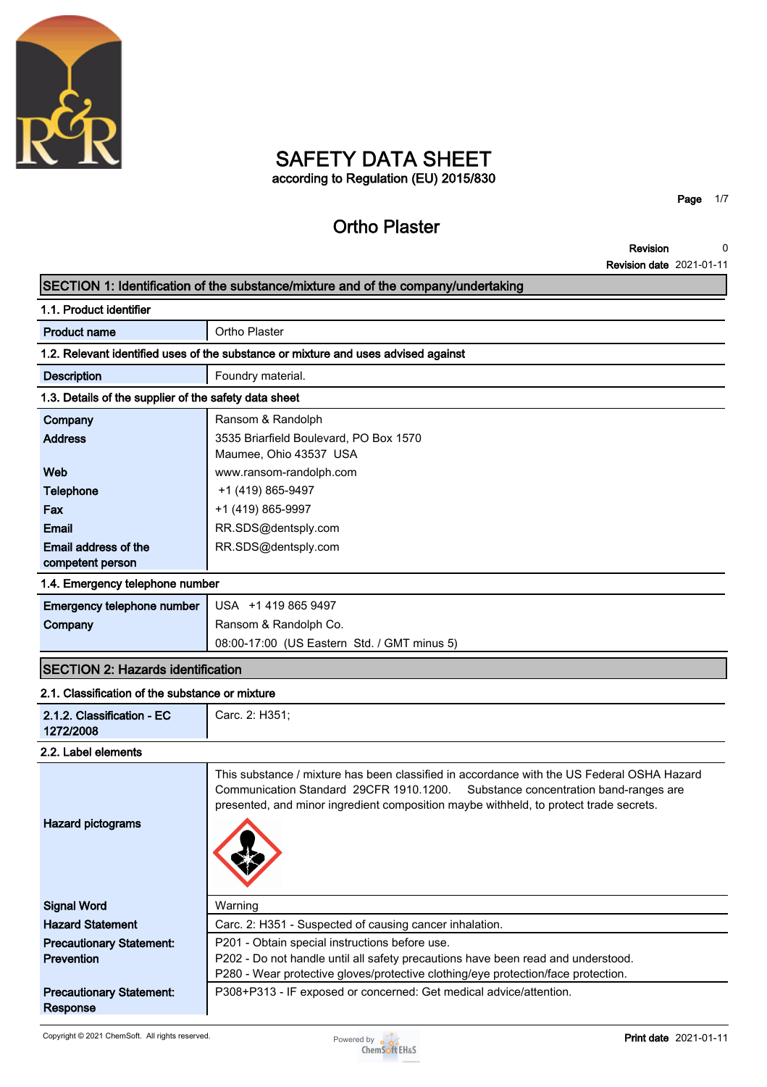

# **SAFETY DATA SHEET according to Regulation (EU) 2015/830**

# **Ortho Plaster**

**Page 1/7**

**Revision Revision date 2021-01-11 0**

# **SECTION 1: Identification of the substance/mixture and of the company/undertaking 1.1. Product identifier**

| <b>Product name</b>                                                                | Ortho Plaster                          |  |
|------------------------------------------------------------------------------------|----------------------------------------|--|
| 1.2. Relevant identified uses of the substance or mixture and uses advised against |                                        |  |
| <b>Description</b>                                                                 | Foundry material.                      |  |
| 1.3. Details of the supplier of the safety data sheet                              |                                        |  |
| Company                                                                            | Ransom & Randolph                      |  |
| <b>Address</b>                                                                     | 3535 Briarfield Boulevard, PO Box 1570 |  |
|                                                                                    | Maumee, Ohio 43537 USA                 |  |
| Web                                                                                | www.ransom-randolph.com                |  |
| Telephone                                                                          | +1 (419) 865-9497                      |  |
| Fax                                                                                | +1 (419) 865-9997                      |  |
| Email                                                                              | RR.SDS@dentsply.com                    |  |
| Email address of the                                                               | RR.SDS@dentsply.com                    |  |
| competent person                                                                   |                                        |  |

### **1.4. Emergency telephone number**

| <b>Emergency telephone number</b> USA +1 419 865 9497 |                                             |
|-------------------------------------------------------|---------------------------------------------|
| Company                                               | Ransom & Randolph Co.                       |
|                                                       | 08:00-17:00 (US Eastern Std. / GMT minus 5) |

# **SECTION 2: Hazards identification**

# **2.1. Classification of the substance or mixture**

| 2.1.2. Classification - EC<br>1272/2008              | Carc. 2: H351;                                                                                                                                                                                                                                                         |  |  |  |
|------------------------------------------------------|------------------------------------------------------------------------------------------------------------------------------------------------------------------------------------------------------------------------------------------------------------------------|--|--|--|
| 2.2. Label elements                                  |                                                                                                                                                                                                                                                                        |  |  |  |
| Hazard pictograms                                    | This substance / mixture has been classified in accordance with the US Federal OSHA Hazard<br>Communication Standard 29CFR 1910.1200. Substance concentration band-ranges are<br>presented, and minor ingredient composition maybe withheld, to protect trade secrets. |  |  |  |
| <b>Signal Word</b>                                   | Warning                                                                                                                                                                                                                                                                |  |  |  |
| <b>Hazard Statement</b>                              | Carc. 2: H351 - Suspected of causing cancer inhalation.                                                                                                                                                                                                                |  |  |  |
| <b>Precautionary Statement:</b><br><b>Prevention</b> | P201 - Obtain special instructions before use.<br>P202 - Do not handle until all safety precautions have been read and understood.<br>P280 - Wear protective gloves/protective clothing/eye protection/face protection.                                                |  |  |  |
| <b>Precautionary Statement:</b><br>Response          | P308+P313 - IF exposed or concerned: Get medical advice/attention.                                                                                                                                                                                                     |  |  |  |

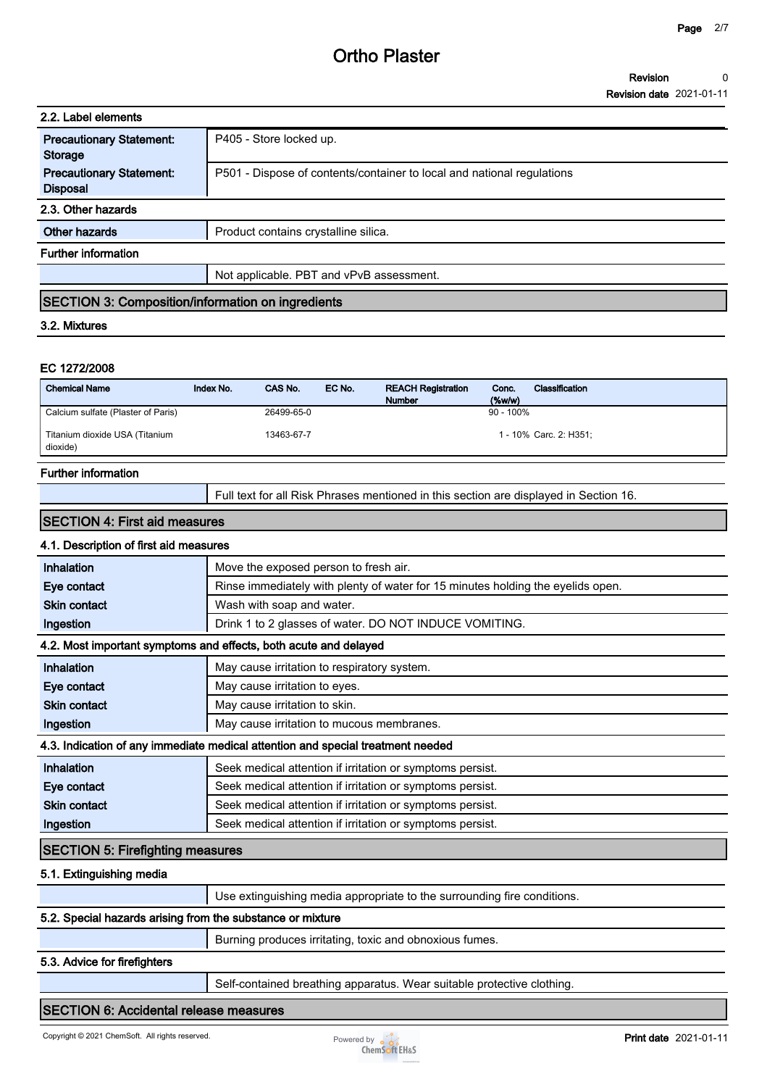| 2.2. Label elements                                |                                                                        |  |
|----------------------------------------------------|------------------------------------------------------------------------|--|
| <b>Precautionary Statement:</b><br>Storage         | P405 - Store locked up.                                                |  |
| <b>Precautionary Statement:</b><br><b>Disposal</b> | P501 - Dispose of contents/container to local and national regulations |  |
| 2.3. Other hazards                                 |                                                                        |  |
| Other hazards                                      | Product contains crystalline silica.                                   |  |
| <b>Further information</b>                         |                                                                        |  |
|                                                    | Not applicable. PBT and vPvB assessment.                               |  |
|                                                    |                                                                        |  |

# **SECTION 3: Composition/information on ingredients**

#### **3.2. Mixtures**

#### **EC 1272/2008**

| <b>Chemical Name</b>                       | Index No. | CAS No.    | EC No. | <b>REACH Registration</b><br><b>Number</b> | Conc.<br>$(\%w/w)$ | Classification         |
|--------------------------------------------|-----------|------------|--------|--------------------------------------------|--------------------|------------------------|
| Calcium sulfate (Plaster of Paris)         |           | 26499-65-0 |        |                                            | $90 - 100\%$       |                        |
| Titanium dioxide USA (Titanium<br>dioxide) |           | 13463-67-7 |        |                                            |                    | 1 - 10% Carc. 2: H351: |

### **Further information**

**Full text for all Risk Phrases mentioned in this section are displayed in Section 16.**

#### **SECTION 4: First aid measures**

# **4.1. Description of first aid measures**

| Inhalation                                                                      | Move the exposed person to fresh air.                                           |  |  |  |
|---------------------------------------------------------------------------------|---------------------------------------------------------------------------------|--|--|--|
| Eye contact                                                                     | Rinse immediately with plenty of water for 15 minutes holding the eyelids open. |  |  |  |
| <b>Skin contact</b>                                                             | Wash with soap and water.                                                       |  |  |  |
| Ingestion                                                                       | Drink 1 to 2 glasses of water. DO NOT INDUCE VOMITING.                          |  |  |  |
| 4.2. Most important symptoms and effects, both acute and delayed                |                                                                                 |  |  |  |
| Inhalation                                                                      | May cause irritation to respiratory system.                                     |  |  |  |
| Eye contact                                                                     | May cause irritation to eyes.                                                   |  |  |  |
| <b>Skin contact</b>                                                             | May cause irritation to skin.                                                   |  |  |  |
| Ingestion                                                                       | May cause irritation to mucous membranes.                                       |  |  |  |
| 4.3. Indication of any immediate medical attention and special treatment needed |                                                                                 |  |  |  |
| Inhalation                                                                      | Seek medical attention if irritation or symptoms persist.                       |  |  |  |
| Eye contact                                                                     | Seek medical attention if irritation or symptoms persist.                       |  |  |  |
| <b>Skin contact</b>                                                             | Seek medical attention if irritation or symptoms persist.                       |  |  |  |
| Ingestion                                                                       | Seek medical attention if irritation or symptoms persist.                       |  |  |  |
| <b>SECTION 5: Firefighting measures</b>                                         |                                                                                 |  |  |  |

#### **5.1. Extinguishing media**

|                                                            | Use extinguishing media appropriate to the surrounding fire conditions. |  |
|------------------------------------------------------------|-------------------------------------------------------------------------|--|
| 5.2. Special hazards arising from the substance or mixture |                                                                         |  |
|                                                            | Burning produces irritating, toxic and obnoxious fumes.                 |  |

### **5.3. Advice for firefighters**

**Self-contained breathing apparatus. Wear suitable protective clothing.**

### **SECTION 6: Accidental release measures**

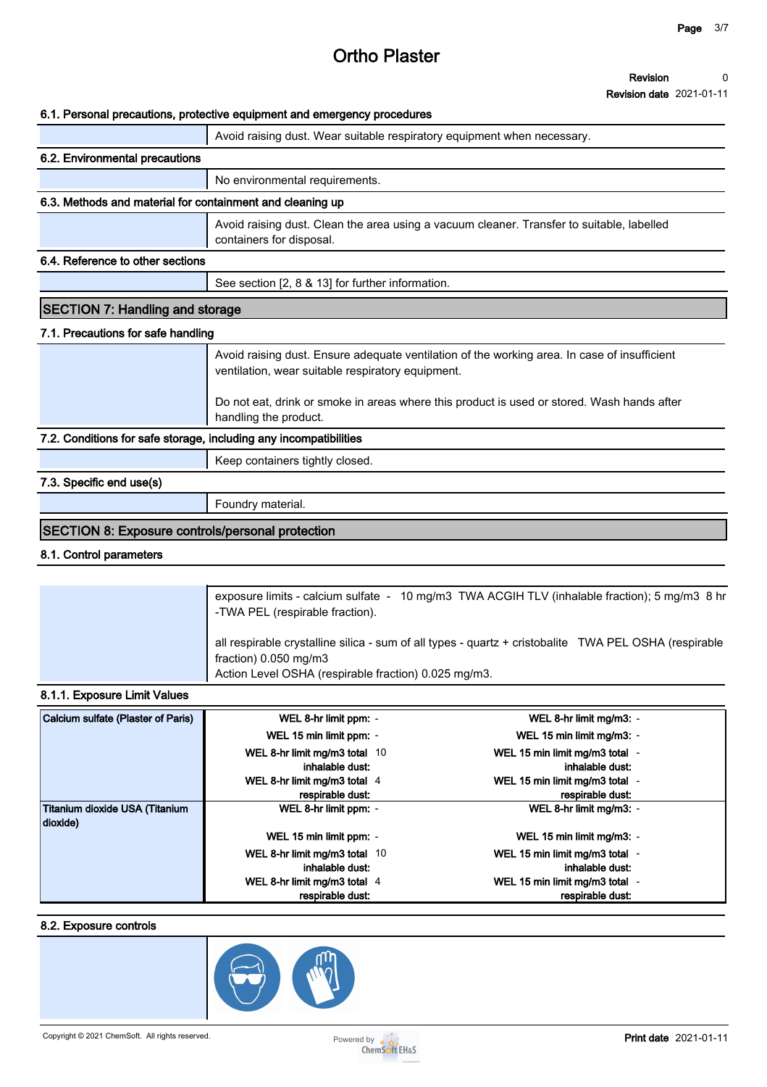#### **Revision 0**

**Revision date 2021-01-11**

### **6.1. Personal precautions, protective equipment and emergency procedures**

|                                                                   | o. i. Personal precaduons, protective equipment and emergency procedures                                                                          |  |  |
|-------------------------------------------------------------------|---------------------------------------------------------------------------------------------------------------------------------------------------|--|--|
|                                                                   | Avoid raising dust. Wear suitable respiratory equipment when necessary.                                                                           |  |  |
| 6.2. Environmental precautions                                    |                                                                                                                                                   |  |  |
|                                                                   | No environmental requirements.                                                                                                                    |  |  |
| 6.3. Methods and material for containment and cleaning up         |                                                                                                                                                   |  |  |
|                                                                   | Avoid raising dust. Clean the area using a vacuum cleaner. Transfer to suitable, labelled<br>containers for disposal.                             |  |  |
| 6.4. Reference to other sections                                  |                                                                                                                                                   |  |  |
|                                                                   | See section [2, 8 & 13] for further information.                                                                                                  |  |  |
| <b>SECTION 7: Handling and storage</b>                            |                                                                                                                                                   |  |  |
| 7.1. Precautions for safe handling                                |                                                                                                                                                   |  |  |
|                                                                   | Avoid raising dust. Ensure adequate ventilation of the working area. In case of insufficient<br>ventilation, wear suitable respiratory equipment. |  |  |
|                                                                   | Do not eat, drink or smoke in areas where this product is used or stored. Wash hands after<br>handling the product.                               |  |  |
| 7.2. Conditions for safe storage, including any incompatibilities |                                                                                                                                                   |  |  |
|                                                                   | Keep containers tightly closed.                                                                                                                   |  |  |
| 7.3. Specific end use(s)                                          |                                                                                                                                                   |  |  |
|                                                                   | Foundry material.                                                                                                                                 |  |  |
| <b>SECTION 8: Exposure controls/personal protection</b>           |                                                                                                                                                   |  |  |

### **8.1. Control parameters**

| exposure limits - calcium sulfate - 10 mg/m3 TWA ACGIH TLV (inhalable fraction); 5 mg/m3 8 hr<br>-TWA PEL (respirable fraction).                                                       |
|----------------------------------------------------------------------------------------------------------------------------------------------------------------------------------------|
| all respirable crystalline silica - sum of all types - quartz + cristobalite TWA PEL OSHA (respirable<br>fraction) 0.050 mg/m3<br>Action Level OSHA (respirable fraction) 0.025 mg/m3. |

# **8.1.1. Exposure Limit Values**

| Calcium sulfate (Plaster of Paris)         | WEL 8-hr limit ppm: -                            | WEL 8-hr limit mg/m3: -                            |
|--------------------------------------------|--------------------------------------------------|----------------------------------------------------|
|                                            | WEL 15 min limit ppm: -                          | WEL 15 min limit mg/m3: -                          |
|                                            | WEL 8-hr limit mg/m3 total 10<br>inhalable dust: | WEL 15 min limit mg/m3 total -<br>inhalable dust:  |
|                                            | WEL 8-hr limit mg/m3 total 4<br>respirable dust: | WEL 15 min limit mg/m3 total -<br>respirable dust: |
| Titanium dioxide USA (Titanium<br>dioxide) | WEL 8-hr limit ppm: -                            | WEL 8-hr limit mg/m3: -                            |
|                                            | WEL 15 min limit ppm: -                          | WEL 15 min limit mg/m3: -                          |
|                                            | WEL 8-hr limit mg/m3 total 10<br>inhalable dust: | WEL 15 min limit mg/m3 total -<br>inhalable dust:  |
|                                            | WEL 8-hr limit mg/m3 total 4<br>respirable dust: | WEL 15 min limit mg/m3 total -<br>respirable dust: |

# **8.2. Exposure controls**

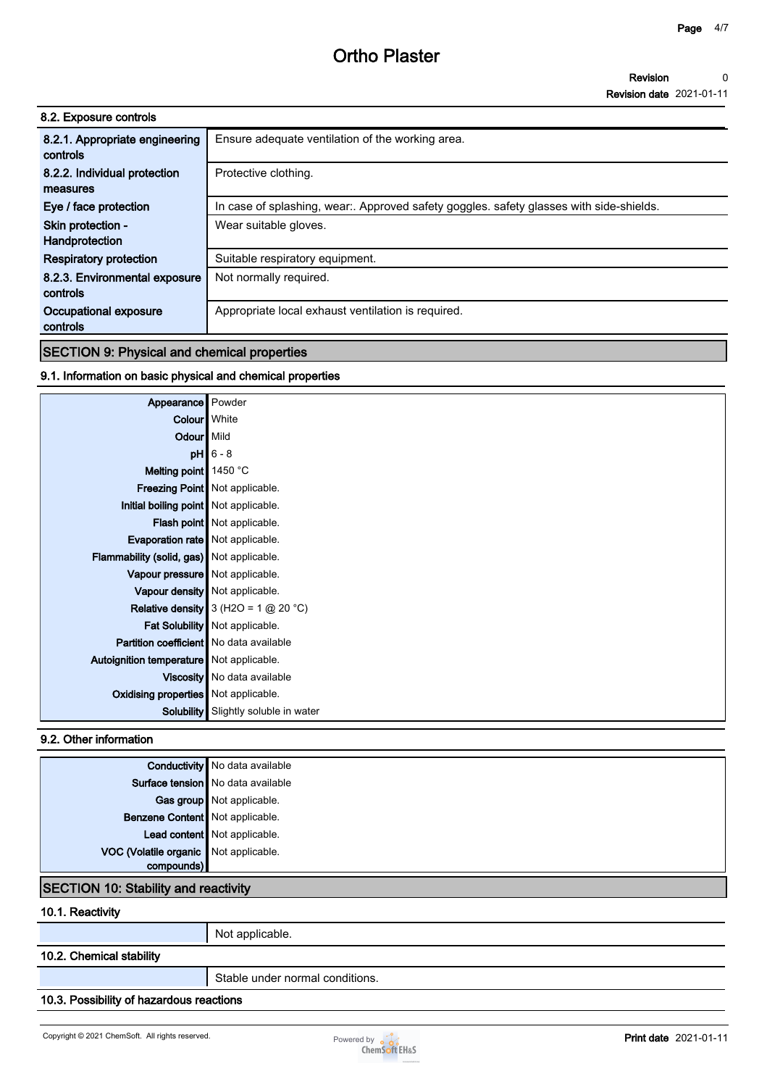| 8.2. Exposure controls         |                                                                                       |
|--------------------------------|---------------------------------------------------------------------------------------|
| 8.2.1. Appropriate engineering | Ensure adequate ventilation of the working area.                                      |
| controls                       |                                                                                       |
| 8.2.2. Individual protection   | Protective clothing.                                                                  |
| measures                       |                                                                                       |
| Eye / face protection          | In case of splashing, wear Approved safety goggles. safety glasses with side-shields. |
| Skin protection -              | Wear suitable gloves.                                                                 |
| Handprotection                 |                                                                                       |
| <b>Respiratory protection</b>  | Suitable respiratory equipment.                                                       |
| 8.2.3. Environmental exposure  | Not normally required.                                                                |
| controls                       |                                                                                       |
| Occupational exposure          | Appropriate local exhaust ventilation is required.                                    |
| controls                       |                                                                                       |
|                                |                                                                                       |

# **SECTION 9: Physical and chemical properties**

# **9.1. Information on basic physical and chemical properties**

| Appearance Powder                              |                                             |
|------------------------------------------------|---------------------------------------------|
| Colour White                                   |                                             |
| Odour   Mild                                   |                                             |
|                                                | $pH$ 6 - 8                                  |
| Melting point 1450 °C                          |                                             |
|                                                | Freezing Point   Not applicable.            |
| Initial boiling point   Not applicable.        |                                             |
|                                                | Flash point   Not applicable.               |
| <b>Evaporation rate</b> Not applicable.        |                                             |
| Flammability (solid, gas) Not applicable.      |                                             |
| Vapour pressure   Not applicable.              |                                             |
|                                                | Vapour density   Not applicable.            |
|                                                | Relative density $3$ (H2O = 1 @ 20 °C)      |
|                                                | Fat Solubility   Not applicable.            |
| <b>Partition coefficient</b> No data available |                                             |
| Autoignition temperature   Not applicable.     |                                             |
|                                                | Viscosity   No data available               |
| <b>Oxidising properties</b> Not applicable.    |                                             |
|                                                | <b>Solubility</b> Slightly soluble in water |

### **9.2. Other information**

|                                             | <b>Conductivity</b> No data available |
|---------------------------------------------|---------------------------------------|
|                                             | Surface tension No data available     |
|                                             | Gas group Not applicable.             |
| Benzene Content Not applicable.             |                                       |
|                                             | Lead content Not applicable.          |
| VOC (Volatile organic Not applicable.       |                                       |
| compounds)                                  |                                       |
| <b>SECTION 10: Stability and reactivity</b> |                                       |

## **10.1. Reactivity**

**Not applicable.**

# **10.2. Chemical stability**

**Stable under normal conditions.**

# **10.3. Possibility of hazardous reactions**

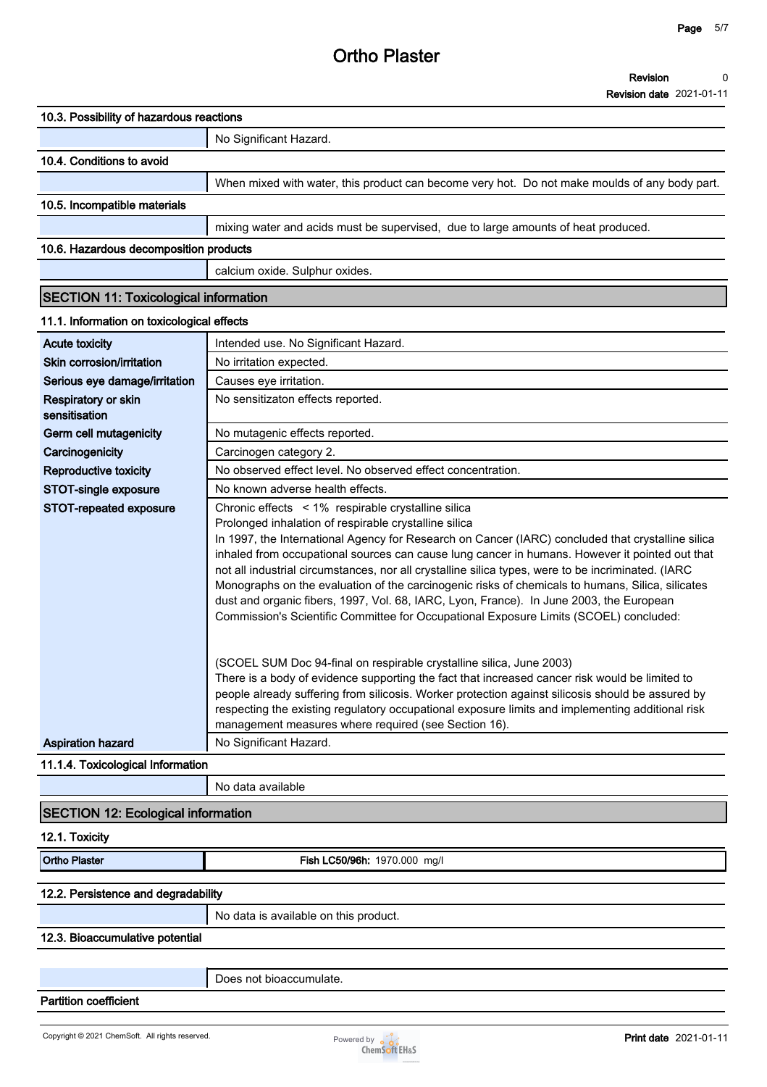**Revision Revision date 2021-01-11 0**

| 10.3. Possibility of hazardous reactions     |                                                                                                                                                                                                                                                                                                                                                                                                                                                                                                                                                                                                                                                                                                                  |
|----------------------------------------------|------------------------------------------------------------------------------------------------------------------------------------------------------------------------------------------------------------------------------------------------------------------------------------------------------------------------------------------------------------------------------------------------------------------------------------------------------------------------------------------------------------------------------------------------------------------------------------------------------------------------------------------------------------------------------------------------------------------|
|                                              | No Significant Hazard.                                                                                                                                                                                                                                                                                                                                                                                                                                                                                                                                                                                                                                                                                           |
| 10.4. Conditions to avoid                    |                                                                                                                                                                                                                                                                                                                                                                                                                                                                                                                                                                                                                                                                                                                  |
|                                              | When mixed with water, this product can become very hot. Do not make moulds of any body part.                                                                                                                                                                                                                                                                                                                                                                                                                                                                                                                                                                                                                    |
| 10.5. Incompatible materials                 |                                                                                                                                                                                                                                                                                                                                                                                                                                                                                                                                                                                                                                                                                                                  |
|                                              | mixing water and acids must be supervised, due to large amounts of heat produced.                                                                                                                                                                                                                                                                                                                                                                                                                                                                                                                                                                                                                                |
| 10.6. Hazardous decomposition products       |                                                                                                                                                                                                                                                                                                                                                                                                                                                                                                                                                                                                                                                                                                                  |
|                                              | calcium oxide. Sulphur oxides.                                                                                                                                                                                                                                                                                                                                                                                                                                                                                                                                                                                                                                                                                   |
| <b>SECTION 11: Toxicological information</b> |                                                                                                                                                                                                                                                                                                                                                                                                                                                                                                                                                                                                                                                                                                                  |
| 11.1. Information on toxicological effects   |                                                                                                                                                                                                                                                                                                                                                                                                                                                                                                                                                                                                                                                                                                                  |
| <b>Acute toxicity</b>                        | Intended use. No Significant Hazard.                                                                                                                                                                                                                                                                                                                                                                                                                                                                                                                                                                                                                                                                             |
| Skin corrosion/irritation                    | No irritation expected.                                                                                                                                                                                                                                                                                                                                                                                                                                                                                                                                                                                                                                                                                          |
| Serious eye damage/irritation                | Causes eye irritation.                                                                                                                                                                                                                                                                                                                                                                                                                                                                                                                                                                                                                                                                                           |
| Respiratory or skin                          | No sensitizaton effects reported.                                                                                                                                                                                                                                                                                                                                                                                                                                                                                                                                                                                                                                                                                |
| sensitisation                                |                                                                                                                                                                                                                                                                                                                                                                                                                                                                                                                                                                                                                                                                                                                  |
| Germ cell mutagenicity                       | No mutagenic effects reported.                                                                                                                                                                                                                                                                                                                                                                                                                                                                                                                                                                                                                                                                                   |
| Carcinogenicity                              | Carcinogen category 2.                                                                                                                                                                                                                                                                                                                                                                                                                                                                                                                                                                                                                                                                                           |
| Reproductive toxicity                        | No observed effect level. No observed effect concentration.                                                                                                                                                                                                                                                                                                                                                                                                                                                                                                                                                                                                                                                      |
| STOT-single exposure                         | No known adverse health effects.                                                                                                                                                                                                                                                                                                                                                                                                                                                                                                                                                                                                                                                                                 |
| STOT-repeated exposure                       | Chronic effects < 1% respirable crystalline silica<br>Prolonged inhalation of respirable crystalline silica<br>In 1997, the International Agency for Research on Cancer (IARC) concluded that crystalline silica<br>inhaled from occupational sources can cause lung cancer in humans. However it pointed out that<br>not all industrial circumstances, nor all crystalline silica types, were to be incriminated. (IARC<br>Monographs on the evaluation of the carcinogenic risks of chemicals to humans, Silica, silicates<br>dust and organic fibers, 1997, Vol. 68, IARC, Lyon, France). In June 2003, the European<br>Commission's Scientific Committee for Occupational Exposure Limits (SCOEL) concluded: |
|                                              | (SCOEL SUM Doc 94-final on respirable crystalline silica, June 2003)<br>There is a body of evidence supporting the fact that increased cancer risk would be limited to<br>people already suffering from silicosis. Worker protection against silicosis should be assured by<br>respecting the existing regulatory occupational exposure limits and implementing additional risk<br>management measures where required (see Section 16).                                                                                                                                                                                                                                                                          |
| <b>Aspiration hazard</b>                     | No Significant Hazard.                                                                                                                                                                                                                                                                                                                                                                                                                                                                                                                                                                                                                                                                                           |
| 11.1.4. Toxicological Information            |                                                                                                                                                                                                                                                                                                                                                                                                                                                                                                                                                                                                                                                                                                                  |
|                                              | No data available                                                                                                                                                                                                                                                                                                                                                                                                                                                                                                                                                                                                                                                                                                |
| <b>SECTION 12: Ecological information</b>    |                                                                                                                                                                                                                                                                                                                                                                                                                                                                                                                                                                                                                                                                                                                  |
| 12.1. Toxicity                               |                                                                                                                                                                                                                                                                                                                                                                                                                                                                                                                                                                                                                                                                                                                  |
| <b>Ortho Plaster</b>                         | Fish LC50/96h: 1970.000 mg/l                                                                                                                                                                                                                                                                                                                                                                                                                                                                                                                                                                                                                                                                                     |
| 12.2. Persistence and degradability          |                                                                                                                                                                                                                                                                                                                                                                                                                                                                                                                                                                                                                                                                                                                  |
|                                              | No data is available on this product.                                                                                                                                                                                                                                                                                                                                                                                                                                                                                                                                                                                                                                                                            |
| 12.3. Bioaccumulative potential              |                                                                                                                                                                                                                                                                                                                                                                                                                                                                                                                                                                                                                                                                                                                  |
|                                              |                                                                                                                                                                                                                                                                                                                                                                                                                                                                                                                                                                                                                                                                                                                  |
|                                              | Does not bioaccumulate.                                                                                                                                                                                                                                                                                                                                                                                                                                                                                                                                                                                                                                                                                          |

**Partition coefficient**

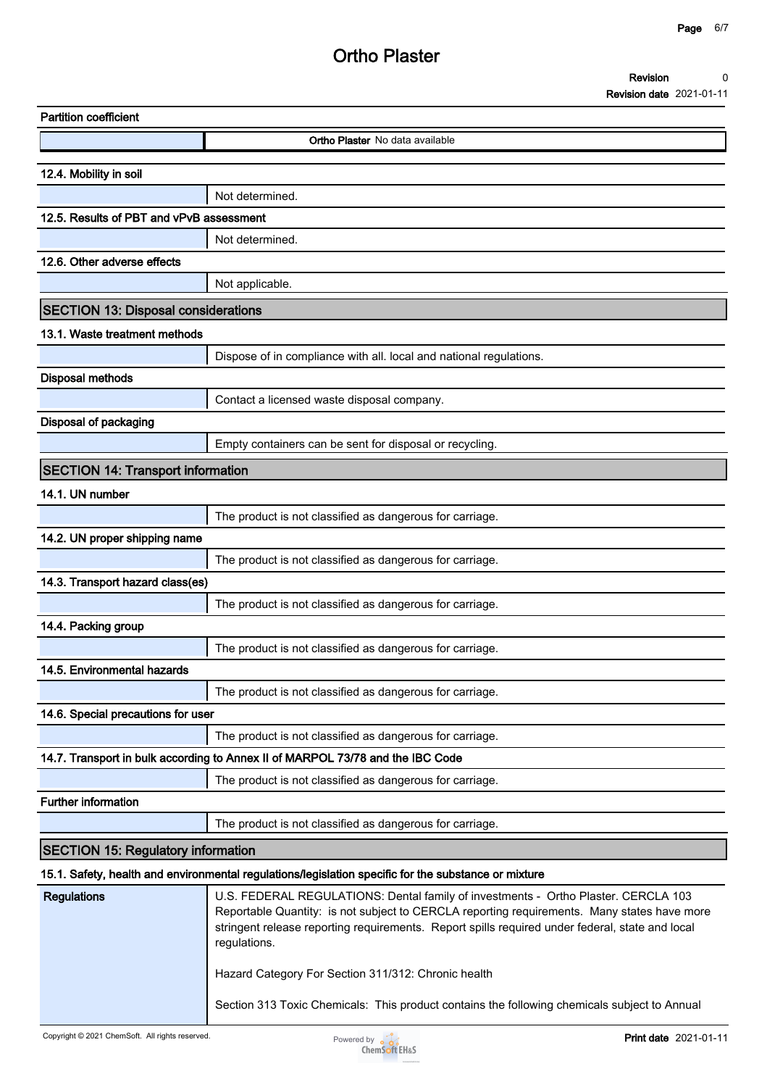|                          | Revision |  |  |
|--------------------------|----------|--|--|
| $\overline{\phantom{0}}$ |          |  |  |

| <b>Partition coefficient</b>               |                                                                                                                                                                                                                                                                                                      |
|--------------------------------------------|------------------------------------------------------------------------------------------------------------------------------------------------------------------------------------------------------------------------------------------------------------------------------------------------------|
|                                            | <b>Ortho Plaster</b> No data available                                                                                                                                                                                                                                                               |
| 12.4. Mobility in soil                     |                                                                                                                                                                                                                                                                                                      |
|                                            | Not determined.                                                                                                                                                                                                                                                                                      |
| 12.5. Results of PBT and vPvB assessment   |                                                                                                                                                                                                                                                                                                      |
|                                            | Not determined.                                                                                                                                                                                                                                                                                      |
| 12.6. Other adverse effects                |                                                                                                                                                                                                                                                                                                      |
|                                            | Not applicable.                                                                                                                                                                                                                                                                                      |
| <b>SECTION 13: Disposal considerations</b> |                                                                                                                                                                                                                                                                                                      |
| 13.1. Waste treatment methods              |                                                                                                                                                                                                                                                                                                      |
|                                            | Dispose of in compliance with all. local and national regulations.                                                                                                                                                                                                                                   |
| <b>Disposal methods</b>                    |                                                                                                                                                                                                                                                                                                      |
|                                            | Contact a licensed waste disposal company.                                                                                                                                                                                                                                                           |
| <b>Disposal of packaging</b>               |                                                                                                                                                                                                                                                                                                      |
|                                            | Empty containers can be sent for disposal or recycling.                                                                                                                                                                                                                                              |
| <b>SECTION 14: Transport information</b>   |                                                                                                                                                                                                                                                                                                      |
| 14.1. UN number                            |                                                                                                                                                                                                                                                                                                      |
|                                            | The product is not classified as dangerous for carriage.                                                                                                                                                                                                                                             |
| 14.2. UN proper shipping name              |                                                                                                                                                                                                                                                                                                      |
|                                            | The product is not classified as dangerous for carriage.                                                                                                                                                                                                                                             |
| 14.3. Transport hazard class(es)           |                                                                                                                                                                                                                                                                                                      |
|                                            | The product is not classified as dangerous for carriage.                                                                                                                                                                                                                                             |
| 14.4. Packing group                        |                                                                                                                                                                                                                                                                                                      |
|                                            | The product is not classified as dangerous for carriage.                                                                                                                                                                                                                                             |
| 14.5. Environmental hazards                |                                                                                                                                                                                                                                                                                                      |
|                                            | The product is not classified as dangerous for carriage.                                                                                                                                                                                                                                             |
| 14.6. Special precautions for user         |                                                                                                                                                                                                                                                                                                      |
|                                            | The product is not classified as dangerous for carriage.                                                                                                                                                                                                                                             |
|                                            | 14.7. Transport in bulk according to Annex II of MARPOL 73/78 and the IBC Code                                                                                                                                                                                                                       |
|                                            | The product is not classified as dangerous for carriage.                                                                                                                                                                                                                                             |
| <b>Further information</b>                 |                                                                                                                                                                                                                                                                                                      |
|                                            | The product is not classified as dangerous for carriage.                                                                                                                                                                                                                                             |
| <b>SECTION 15: Regulatory information</b>  |                                                                                                                                                                                                                                                                                                      |
|                                            | 15.1. Safety, health and environmental regulations/legislation specific for the substance or mixture                                                                                                                                                                                                 |
| <b>Regulations</b>                         | U.S. FEDERAL REGULATIONS: Dental family of investments - Ortho Plaster. CERCLA 103<br>Reportable Quantity: is not subject to CERCLA reporting requirements. Many states have more<br>stringent release reporting requirements. Report spills required under federal, state and local<br>regulations. |
|                                            | Hazard Category For Section 311/312: Chronic health                                                                                                                                                                                                                                                  |
|                                            | Section 313 Toxic Chemicals: This product contains the following chemicals subject to Annual                                                                                                                                                                                                         |